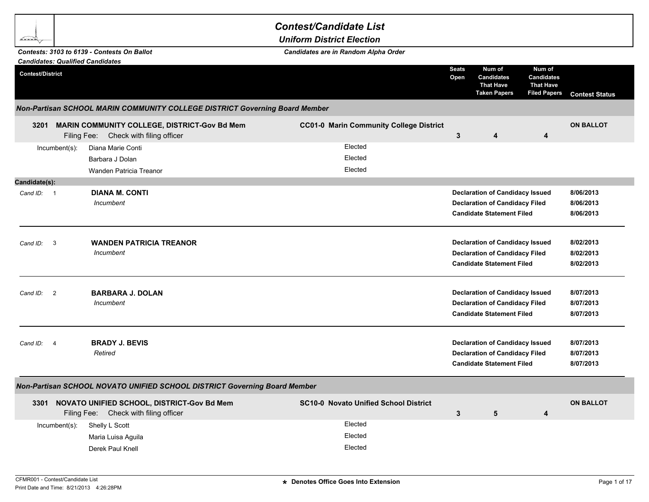## *Contest/Candidate List*

*Uniform District Election*

|                         |                          | Contests: 3103 to 6139 - Contests On Ballot<br><b>Candidates: Qualified Candidates</b>     | Candidates are in Random Alpha Order           |                      |                                                                                                                     |                                                                        |                                     |
|-------------------------|--------------------------|--------------------------------------------------------------------------------------------|------------------------------------------------|----------------------|---------------------------------------------------------------------------------------------------------------------|------------------------------------------------------------------------|-------------------------------------|
| <b>Contest/District</b> |                          |                                                                                            |                                                | <b>Seats</b><br>Open | Num of<br><b>Candidates</b><br><b>That Have</b><br><b>Taken Papers</b>                                              | Num of<br><b>Candidates</b><br><b>That Have</b><br><b>Filed Papers</b> | <b>Contest Status</b>               |
|                         |                          | Non-Partisan SCHOOL MARIN COMMUNITY COLLEGE DISTRICT Governing Board Member                |                                                |                      |                                                                                                                     |                                                                        |                                     |
|                         |                          | 3201 MARIN COMMUNITY COLLEGE, DISTRICT-Gov Bd Mem<br>Filing Fee: Check with filing officer | <b>CC01-0 Marin Community College District</b> | 3                    | 4                                                                                                                   | 4                                                                      | <b>ON BALLOT</b>                    |
|                         | Incumbent(s):            | Diana Marie Conti<br>Barbara J Dolan<br>Wanden Patricia Treanor                            | Elected<br>Elected<br>Elected                  |                      |                                                                                                                     |                                                                        |                                     |
| Candidate(s):           |                          |                                                                                            |                                                |                      |                                                                                                                     |                                                                        |                                     |
| Cand ID: 1              |                          | <b>DIANA M. CONTI</b><br>Incumbent                                                         |                                                |                      | <b>Declaration of Candidacy Issued</b><br><b>Declaration of Candidacy Filed</b><br><b>Candidate Statement Filed</b> |                                                                        | 8/06/2013<br>8/06/2013<br>8/06/2013 |
| Cand ID:                | $\overline{\mathbf{3}}$  | <b>WANDEN PATRICIA TREANOR</b><br>Incumbent                                                |                                                |                      | <b>Declaration of Candidacy Issued</b><br><b>Declaration of Candidacy Filed</b><br><b>Candidate Statement Filed</b> |                                                                        | 8/02/2013<br>8/02/2013<br>8/02/2013 |
| Cand ID:                | $\overline{\phantom{0}}$ | <b>BARBARA J. DOLAN</b><br>Incumbent                                                       |                                                |                      | <b>Declaration of Candidacy Issued</b><br><b>Declaration of Candidacy Filed</b><br><b>Candidate Statement Filed</b> |                                                                        | 8/07/2013<br>8/07/2013<br>8/07/2013 |
| Cand ID:                | $\overline{4}$           | <b>BRADY J. BEVIS</b><br>Retired                                                           |                                                |                      | <b>Declaration of Candidacy Issued</b><br><b>Declaration of Candidacy Filed</b><br><b>Candidate Statement Filed</b> |                                                                        | 8/07/2013<br>8/07/2013<br>8/07/2013 |
|                         |                          | Non-Partisan SCHOOL NOVATO UNIFIED SCHOOL DISTRICT Governing Board Member                  |                                                |                      |                                                                                                                     |                                                                        |                                     |
|                         | Filing Fee:              | 3301 NOVATO UNIFIED SCHOOL, DISTRICT-Gov Bd Mem<br>Check with filing officer               | <b>SC10-0 Novato Unified School District</b>   | 3                    | 5                                                                                                                   | 4                                                                      | <b>ON BALLOT</b>                    |
|                         | $Incumbent(s)$ :         | Shelly L Scott                                                                             | Elected                                        |                      |                                                                                                                     |                                                                        |                                     |

Maria Luisa Aguila **Elected** Derek Paul Knell **Elected** 

bern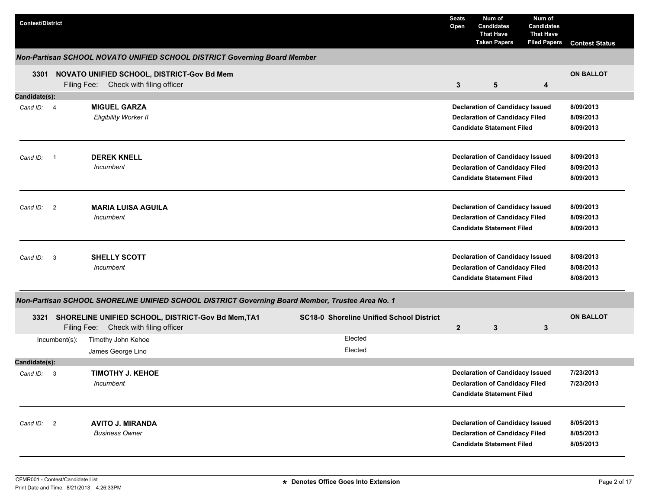| <b>Contest/District</b> |                                                                                                  |                                                 | <b>Seats</b><br>Open | Num of<br><b>Candidates</b><br><b>That Have</b><br><b>Taken Papers</b>                                              | Num of<br><b>Candidates</b><br><b>That Have</b><br><b>Filed Papers</b> | <b>Contest Status</b>               |
|-------------------------|--------------------------------------------------------------------------------------------------|-------------------------------------------------|----------------------|---------------------------------------------------------------------------------------------------------------------|------------------------------------------------------------------------|-------------------------------------|
|                         | Non-Partisan SCHOOL NOVATO UNIFIED SCHOOL DISTRICT Governing Board Member                        |                                                 |                      |                                                                                                                     |                                                                        |                                     |
|                         | 3301 NOVATO UNIFIED SCHOOL, DISTRICT-Gov Bd Mem                                                  |                                                 |                      |                                                                                                                     |                                                                        | <b>ON BALLOT</b>                    |
|                         | Filing Fee: Check with filing officer                                                            |                                                 | $\mathbf{3}$         | 5                                                                                                                   | 4                                                                      |                                     |
| Candidate(s):           |                                                                                                  |                                                 |                      |                                                                                                                     |                                                                        |                                     |
| Cand ID: 4              | <b>MIGUEL GARZA</b>                                                                              |                                                 |                      | <b>Declaration of Candidacy Issued</b>                                                                              |                                                                        | 8/09/2013<br>8/09/2013              |
|                         | <b>Eligibility Worker II</b>                                                                     |                                                 |                      | <b>Declaration of Candidacy Filed</b><br><b>Candidate Statement Filed</b>                                           |                                                                        | 8/09/2013                           |
|                         |                                                                                                  |                                                 |                      |                                                                                                                     |                                                                        |                                     |
| Cand $ID: 1$            | <b>DEREK KNELL</b>                                                                               |                                                 |                      | <b>Declaration of Candidacy Issued</b>                                                                              |                                                                        | 8/09/2013                           |
|                         | Incumbent                                                                                        |                                                 |                      | <b>Declaration of Candidacy Filed</b>                                                                               |                                                                        | 8/09/2013                           |
|                         |                                                                                                  |                                                 |                      | <b>Candidate Statement Filed</b>                                                                                    |                                                                        | 8/09/2013                           |
| Cand ID: 2              | <b>MARIA LUISA AGUILA</b>                                                                        |                                                 |                      | <b>Declaration of Candidacy Issued</b>                                                                              |                                                                        | 8/09/2013                           |
|                         | Incumbent                                                                                        |                                                 |                      | <b>Declaration of Candidacy Filed</b>                                                                               |                                                                        | 8/09/2013                           |
|                         |                                                                                                  |                                                 |                      | <b>Candidate Statement Filed</b>                                                                                    |                                                                        | 8/09/2013                           |
| Cand ID: 3              | <b>SHELLY SCOTT</b><br><b>Incumbent</b>                                                          |                                                 |                      | <b>Declaration of Candidacy Issued</b><br><b>Declaration of Candidacy Filed</b><br><b>Candidate Statement Filed</b> |                                                                        | 8/08/2013<br>8/08/2013<br>8/08/2013 |
|                         | Non-Partisan SCHOOL SHORELINE UNIFIED SCHOOL DISTRICT Governing Board Member, Trustee Area No. 1 |                                                 |                      |                                                                                                                     |                                                                        |                                     |
| 3321                    | SHORELINE UNIFIED SCHOOL, DISTRICT-Gov Bd Mem, TA1<br>Filing Fee: Check with filing officer      | <b>SC18-0 Shoreline Unified School District</b> | $\mathbf{2}$         | 3                                                                                                                   | 3                                                                      | <b>ON BALLOT</b>                    |
| Incumbent(s):           | Timothy John Kehoe                                                                               | Elected                                         |                      |                                                                                                                     |                                                                        |                                     |
|                         | James George Lino                                                                                | Elected                                         |                      |                                                                                                                     |                                                                        |                                     |
| Candidate(s):           |                                                                                                  |                                                 |                      |                                                                                                                     |                                                                        |                                     |
| Cand ID: 3              | <b>TIMOTHY J. KEHOE</b>                                                                          |                                                 |                      | <b>Declaration of Candidacy Issued</b>                                                                              |                                                                        | 7/23/2013                           |
|                         | Incumbent                                                                                        |                                                 |                      | <b>Declaration of Candidacy Filed</b>                                                                               |                                                                        | 7/23/2013                           |
|                         |                                                                                                  |                                                 |                      | <b>Candidate Statement Filed</b>                                                                                    |                                                                        |                                     |
| Cand ID: 2              | <b>AVITO J. MIRANDA</b>                                                                          |                                                 |                      | <b>Declaration of Candidacy Issued</b>                                                                              |                                                                        | 8/05/2013                           |
|                         | <b>Business Owner</b>                                                                            |                                                 |                      | <b>Declaration of Candidacy Filed</b>                                                                               |                                                                        | 8/05/2013                           |
|                         |                                                                                                  |                                                 |                      | <b>Candidate Statement Filed</b>                                                                                    |                                                                        | 8/05/2013                           |
|                         |                                                                                                  |                                                 |                      |                                                                                                                     |                                                                        |                                     |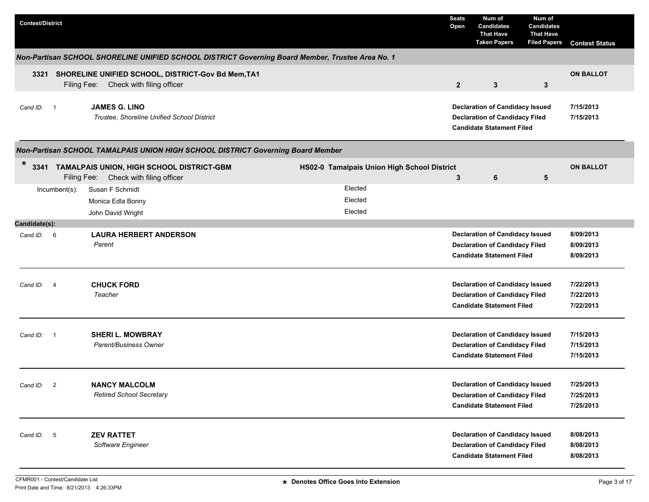| <b>Contest/District</b> |                          |                                                                                                  |                                             | <b>Seats</b><br>Open | Num of<br><b>Candidates</b><br><b>That Have</b><br><b>Taken Papers</b>                                              | Num of<br><b>Candidates</b><br><b>That Have</b><br><b>Filed Papers</b> | <b>Contest Status</b>  |
|-------------------------|--------------------------|--------------------------------------------------------------------------------------------------|---------------------------------------------|----------------------|---------------------------------------------------------------------------------------------------------------------|------------------------------------------------------------------------|------------------------|
|                         |                          | Non-Partisan SCHOOL SHORELINE UNIFIED SCHOOL DISTRICT Governing Board Member, Trustee Area No. 1 |                                             |                      |                                                                                                                     |                                                                        |                        |
| 3321                    |                          | SHORELINE UNIFIED SCHOOL, DISTRICT-Gov Bd Mem, TA1<br>Filing Fee: Check with filing officer      |                                             | $\overline{2}$       | $\mathbf{3}$                                                                                                        | $\mathbf{3}$                                                           | <b>ON BALLOT</b>       |
| Cand ID: 1              |                          | <b>JAMES G. LINO</b><br>Trustee, Shoreline Unified School District                               |                                             |                      | <b>Declaration of Candidacy Issued</b><br><b>Declaration of Candidacy Filed</b><br><b>Candidate Statement Filed</b> |                                                                        | 7/15/2013<br>7/15/2013 |
|                         |                          | Non-Partisan SCHOOL TAMALPAIS UNION HIGH SCHOOL DISTRICT Governing Board Member                  |                                             |                      |                                                                                                                     |                                                                        |                        |
| $\ast$                  | Filing Fee:              | 3341 TAMALPAIS UNION, HIGH SCHOOL DISTRICT-GBM<br>Check with filing officer                      | HS02-0 Tamalpais Union High School District | 3                    | 6                                                                                                                   | 5                                                                      | <b>ON BALLOT</b>       |
|                         | Incumbent(s):            | Susan F Schmidt                                                                                  | Elected                                     |                      |                                                                                                                     |                                                                        |                        |
|                         |                          | Monica Edla Bonny                                                                                | Elected                                     |                      |                                                                                                                     |                                                                        |                        |
|                         |                          | John David Wright                                                                                | Elected                                     |                      |                                                                                                                     |                                                                        |                        |
| Candidate(s):           |                          |                                                                                                  |                                             |                      |                                                                                                                     |                                                                        |                        |
| Cand ID: 6              |                          | <b>LAURA HERBERT ANDERSON</b>                                                                    |                                             |                      | <b>Declaration of Candidacy Issued</b>                                                                              |                                                                        | 8/09/2013              |
|                         |                          | Parent                                                                                           |                                             |                      | <b>Declaration of Candidacy Filed</b><br><b>Candidate Statement Filed</b>                                           |                                                                        | 8/09/2013<br>8/09/2013 |
| Cand ID:                | - 4                      | <b>CHUCK FORD</b>                                                                                |                                             |                      | <b>Declaration of Candidacy Issued</b>                                                                              |                                                                        | 7/22/2013              |
|                         |                          | Teacher                                                                                          |                                             |                      | <b>Declaration of Candidacy Filed</b><br><b>Candidate Statement Filed</b>                                           |                                                                        | 7/22/2013<br>7/22/2013 |
| Cand ID:                | $\overline{\phantom{0}}$ | <b>SHERI L. MOWBRAY</b>                                                                          |                                             |                      | <b>Declaration of Candidacy Issued</b>                                                                              |                                                                        | 7/15/2013              |
|                         |                          | Parent/Business Owner                                                                            |                                             |                      | <b>Declaration of Candidacy Filed</b>                                                                               |                                                                        | 7/15/2013              |
|                         |                          |                                                                                                  |                                             |                      | <b>Candidate Statement Filed</b>                                                                                    |                                                                        | 7/15/2013              |
| Cand ID: 2              |                          | <b>NANCY MALCOLM</b>                                                                             |                                             |                      | <b>Declaration of Candidacy Issued</b>                                                                              |                                                                        | 7/25/2013              |
|                         |                          | <b>Retired School Secretary</b>                                                                  |                                             |                      | <b>Declaration of Candidacy Filed</b>                                                                               |                                                                        | 7/25/2013              |
|                         |                          |                                                                                                  |                                             |                      | <b>Candidate Statement Filed</b>                                                                                    |                                                                        | 7/25/2013              |
| Cand ID: 5              |                          | <b>ZEV RATTET</b><br>Software Engineer                                                           |                                             |                      | <b>Declaration of Candidacy Issued</b><br><b>Declaration of Candidacy Filed</b>                                     |                                                                        | 8/08/2013<br>8/08/2013 |
|                         |                          |                                                                                                  |                                             |                      | <b>Candidate Statement Filed</b>                                                                                    |                                                                        | 8/08/2013              |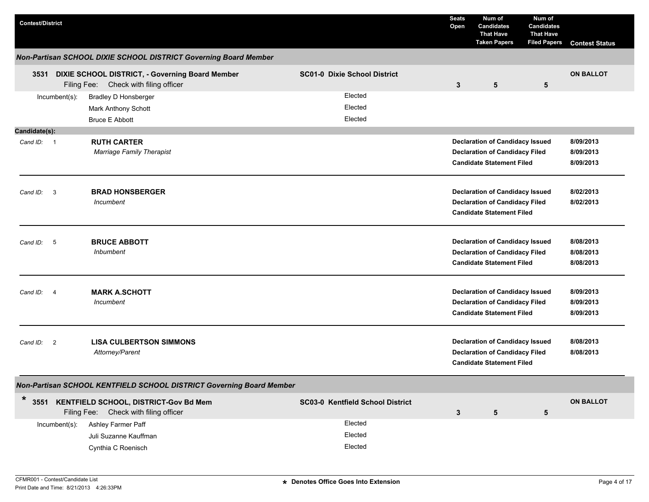| <b>Contest/District</b>                |                                                                                             |                                     | <b>Seats</b><br>Open | Num of<br><b>Candidates</b><br><b>That Have</b><br><b>Taken Papers</b>                                              | Num of<br><b>Candidates</b><br><b>That Have</b><br><b>Filed Papers</b> | <b>Contest Status</b>               |
|----------------------------------------|---------------------------------------------------------------------------------------------|-------------------------------------|----------------------|---------------------------------------------------------------------------------------------------------------------|------------------------------------------------------------------------|-------------------------------------|
|                                        | Non-Partisan SCHOOL DIXIE SCHOOL DISTRICT Governing Board Member                            |                                     |                      |                                                                                                                     |                                                                        |                                     |
| 3531                                   | DIXIE SCHOOL DISTRICT, - Governing Board Member<br>Filing Fee:<br>Check with filing officer | <b>SC01-0 Dixie School District</b> | 3                    | 5                                                                                                                   | 5                                                                      | <b>ON BALLOT</b>                    |
| Incumbent(s):                          | <b>Bradley D Honsberger</b><br>Mark Anthony Schott<br><b>Bruce E Abbott</b>                 | Elected<br>Elected<br>Elected       |                      |                                                                                                                     |                                                                        |                                     |
| Candidate(s):<br>Cand ID: 1            | <b>RUTH CARTER</b><br>Marriage Family Therapist                                             |                                     |                      | <b>Declaration of Candidacy Issued</b><br><b>Declaration of Candidacy Filed</b><br><b>Candidate Statement Filed</b> |                                                                        | 8/09/2013<br>8/09/2013<br>8/09/2013 |
| $\mathbf{3}$<br>Cand ID:               | <b>BRAD HONSBERGER</b><br>Incumbent                                                         |                                     |                      | <b>Declaration of Candidacy Issued</b><br><b>Declaration of Candidacy Filed</b><br><b>Candidate Statement Filed</b> |                                                                        | 8/02/2013<br>8/02/2013              |
| 5<br>Cand ID:                          | <b>BRUCE ABBOTT</b><br><b>Inbumbent</b>                                                     |                                     |                      | <b>Declaration of Candidacy Issued</b><br><b>Declaration of Candidacy Filed</b><br><b>Candidate Statement Filed</b> |                                                                        | 8/08/2013<br>8/08/2013<br>8/08/2013 |
| Cand ID:<br>$\overline{4}$             | <b>MARK A.SCHOTT</b><br>Incumbent                                                           |                                     |                      | <b>Declaration of Candidacy Issued</b><br><b>Declaration of Candidacy Filed</b><br><b>Candidate Statement Filed</b> |                                                                        | 8/09/2013<br>8/09/2013<br>8/09/2013 |
| $\overline{\phantom{0}}^2$<br>Cand ID: | <b>LISA CULBERTSON SIMMONS</b><br>Attorney/Parent                                           |                                     |                      | <b>Declaration of Candidacy Issued</b><br><b>Declaration of Candidacy Filed</b><br><b>Candidate Statement Filed</b> |                                                                        | 8/08/2013<br>8/08/2013              |
|                                        | Non-Partisan SCHOOL KENTFIELD SCHOOL DISTRICT Governing Board Member                        |                                     |                      |                                                                                                                     |                                                                        |                                     |
| *                                      | 3551 KENTFIELD SCHOOL, DISTRICT-Gov Bd Mem<br>Filing Fee: Check with filing officer         | SC03-0 Kentfield School District    | 3                    | 5                                                                                                                   | ${\bf 5}$                                                              | <b>ON BALLOT</b>                    |
| Incumbent(s):                          | Ashley Farmer Paff<br>Juli Suzanne Kauffman<br>Cynthia C Roenisch                           | Elected<br>Elected<br>Elected       |                      |                                                                                                                     |                                                                        |                                     |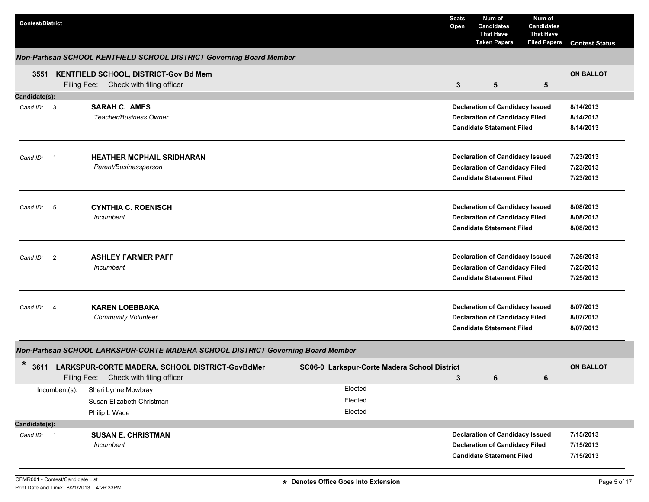| <b>Contest/District</b> |                            |                                                                                          |                                              | <b>Seats</b><br>Open | Num of<br><b>Candidates</b><br><b>That Have</b><br><b>Taken Papers</b>    | Num of<br><b>Candidates</b><br><b>That Have</b><br><b>Filed Papers</b> | <b>Contest Status</b>  |
|-------------------------|----------------------------|------------------------------------------------------------------------------------------|----------------------------------------------|----------------------|---------------------------------------------------------------------------|------------------------------------------------------------------------|------------------------|
|                         |                            | Non-Partisan SCHOOL KENTFIELD SCHOOL DISTRICT Governing Board Member                     |                                              |                      |                                                                           |                                                                        |                        |
|                         |                            | 3551 KENTFIELD SCHOOL, DISTRICT-Gov Bd Mem<br>Filing Fee: Check with filing officer      |                                              | 3                    | 5                                                                         | 5                                                                      | <b>ON BALLOT</b>       |
| Candidate(s):           |                            |                                                                                          |                                              |                      |                                                                           |                                                                        |                        |
| Cand ID: 3              |                            | <b>SARAH C. AMES</b>                                                                     |                                              |                      | <b>Declaration of Candidacy Issued</b>                                    |                                                                        | 8/14/2013              |
|                         |                            | <b>Teacher/Business Owner</b>                                                            |                                              |                      | <b>Declaration of Candidacy Filed</b>                                     |                                                                        | 8/14/2013              |
|                         |                            |                                                                                          |                                              |                      | <b>Candidate Statement Filed</b>                                          |                                                                        | 8/14/2013              |
|                         |                            |                                                                                          |                                              |                      |                                                                           |                                                                        |                        |
| Cand ID:<br>- 1         |                            | <b>HEATHER MCPHAIL SRIDHARAN</b>                                                         |                                              |                      | <b>Declaration of Candidacy Issued</b>                                    |                                                                        | 7/23/2013              |
|                         |                            | Parent/Businessperson                                                                    |                                              |                      | <b>Declaration of Candidacy Filed</b><br><b>Candidate Statement Filed</b> |                                                                        | 7/23/2013<br>7/23/2013 |
|                         |                            |                                                                                          |                                              |                      |                                                                           |                                                                        |                        |
| Cand ID:                | 5                          | <b>CYNTHIA C. ROENISCH</b>                                                               |                                              |                      | <b>Declaration of Candidacy Issued</b>                                    |                                                                        | 8/08/2013              |
|                         |                            | Incumbent                                                                                |                                              |                      | <b>Declaration of Candidacy Filed</b>                                     |                                                                        | 8/08/2013              |
|                         |                            |                                                                                          |                                              |                      | <b>Candidate Statement Filed</b>                                          |                                                                        | 8/08/2013              |
|                         |                            |                                                                                          |                                              |                      |                                                                           |                                                                        |                        |
| Cand ID:                | $\overline{\phantom{0}}^2$ | <b>ASHLEY FARMER PAFF</b>                                                                |                                              |                      | <b>Declaration of Candidacy Issued</b>                                    |                                                                        | 7/25/2013              |
|                         |                            | Incumbent                                                                                |                                              |                      | <b>Declaration of Candidacy Filed</b>                                     |                                                                        | 7/25/2013              |
|                         |                            |                                                                                          |                                              |                      | <b>Candidate Statement Filed</b>                                          |                                                                        | 7/25/2013              |
| Cand ID:                | 4                          | <b>KAREN LOEBBAKA</b>                                                                    |                                              |                      | <b>Declaration of Candidacy Issued</b>                                    |                                                                        | 8/07/2013              |
|                         |                            | <b>Community Volunteer</b>                                                               |                                              |                      | <b>Declaration of Candidacy Filed</b>                                     |                                                                        | 8/07/2013              |
|                         |                            |                                                                                          |                                              |                      | <b>Candidate Statement Filed</b>                                          |                                                                        | 8/07/2013              |
|                         |                            | Non-Partisan SCHOOL LARKSPUR-CORTE MADERA SCHOOL DISTRICT Governing Board Member         |                                              |                      |                                                                           |                                                                        |                        |
| *                       |                            |                                                                                          |                                              |                      |                                                                           |                                                                        |                        |
| 3611                    |                            | LARKSPUR-CORTE MADERA, SCHOOL DISTRICT-GovBdMer<br>Filing Fee: Check with filing officer | SC06-0 Larkspur-Corte Madera School District | 3                    | 6                                                                         | 6                                                                      | <b>ON BALLOT</b>       |
|                         | $Incumbent(s)$ :           | Sheri Lynne Mowbray                                                                      | Elected                                      |                      |                                                                           |                                                                        |                        |
|                         |                            | Susan Elizabeth Christman                                                                | Elected                                      |                      |                                                                           |                                                                        |                        |
|                         |                            | Philip L Wade                                                                            | Elected                                      |                      |                                                                           |                                                                        |                        |
| Candidate(s):           |                            |                                                                                          |                                              |                      |                                                                           |                                                                        |                        |
| Cand ID: 1              |                            | <b>SUSAN E. CHRISTMAN</b>                                                                |                                              |                      | <b>Declaration of Candidacy Issued</b>                                    |                                                                        | 7/15/2013              |
|                         |                            | Incumbent                                                                                |                                              |                      | <b>Declaration of Candidacy Filed</b>                                     |                                                                        | 7/15/2013              |
|                         |                            |                                                                                          |                                              |                      | <b>Candidate Statement Filed</b>                                          |                                                                        | 7/15/2013              |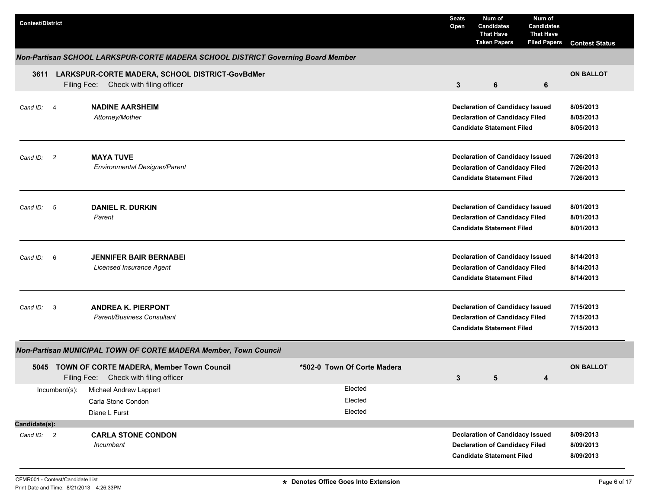| <b>Contest/District</b>             |                                                                                          |                               | <b>Seats</b><br>Open | Num of<br><b>Candidates</b><br><b>That Have</b><br><b>Taken Papers</b>                                              | Num of<br>Candidates<br><b>That Have</b><br><b>Filed Papers</b> | <b>Contest Status</b>               |
|-------------------------------------|------------------------------------------------------------------------------------------|-------------------------------|----------------------|---------------------------------------------------------------------------------------------------------------------|-----------------------------------------------------------------|-------------------------------------|
|                                     | Non-Partisan SCHOOL LARKSPUR-CORTE MADERA SCHOOL DISTRICT Governing Board Member         |                               |                      |                                                                                                                     |                                                                 |                                     |
| 3611                                | LARKSPUR-CORTE MADERA, SCHOOL DISTRICT-GovBdMer<br>Filing Fee: Check with filing officer |                               | $\mathbf{3}$         | 6                                                                                                                   | 6                                                               | <b>ON BALLOT</b>                    |
| Cand ID: 4                          | <b>NADINE AARSHEIM</b><br>Attorney/Mother                                                |                               |                      | <b>Declaration of Candidacy Issued</b><br><b>Declaration of Candidacy Filed</b><br><b>Candidate Statement Filed</b> |                                                                 | 8/05/2013<br>8/05/2013<br>8/05/2013 |
| Cand ID: 2                          | <b>MAYA TUVE</b><br><b>Environmental Designer/Parent</b>                                 |                               |                      | <b>Declaration of Candidacy Issued</b><br><b>Declaration of Candidacy Filed</b><br><b>Candidate Statement Filed</b> |                                                                 | 7/26/2013<br>7/26/2013<br>7/26/2013 |
| Cand ID: 5<br>Parent                | <b>DANIEL R. DURKIN</b>                                                                  |                               |                      | <b>Declaration of Candidacy Issued</b><br><b>Declaration of Candidacy Filed</b><br><b>Candidate Statement Filed</b> |                                                                 | 8/01/2013<br>8/01/2013<br>8/01/2013 |
| Cand ID: 6                          | <b>JENNIFER BAIR BERNABEI</b><br><b>Licensed Insurance Agent</b>                         |                               |                      | <b>Declaration of Candidacy Issued</b><br><b>Declaration of Candidacy Filed</b><br><b>Candidate Statement Filed</b> |                                                                 | 8/14/2013<br>8/14/2013<br>8/14/2013 |
| Cand ID:<br>$\overline{\mathbf{3}}$ | <b>ANDREA K. PIERPONT</b><br>Parent/Business Consultant                                  |                               |                      | <b>Declaration of Candidacy Issued</b><br><b>Declaration of Candidacy Filed</b><br><b>Candidate Statement Filed</b> |                                                                 | 7/15/2013<br>7/15/2013<br>7/15/2013 |
|                                     | Non-Partisan MUNICIPAL TOWN OF CORTE MADERA Member, Town Council                         |                               |                      |                                                                                                                     |                                                                 |                                     |
|                                     | 5045 TOWN OF CORTE MADERA, Member Town Council<br>Filing Fee: Check with filing officer  | *502-0 Town Of Corte Madera   | 3                    | 5                                                                                                                   | 4                                                               | <b>ON BALLOT</b>                    |
| Incumbent(s):                       | Michael Andrew Lappert<br>Carla Stone Condon<br>Diane L Furst                            | Elected<br>Elected<br>Elected |                      |                                                                                                                     |                                                                 |                                     |
| Candidate(s):                       |                                                                                          |                               |                      |                                                                                                                     |                                                                 |                                     |
| Cand ID: 2                          | <b>CARLA STONE CONDON</b><br>Incumbent                                                   |                               |                      | <b>Declaration of Candidacy Issued</b><br><b>Declaration of Candidacy Filed</b><br><b>Candidate Statement Filed</b> |                                                                 | 8/09/2013<br>8/09/2013<br>8/09/2013 |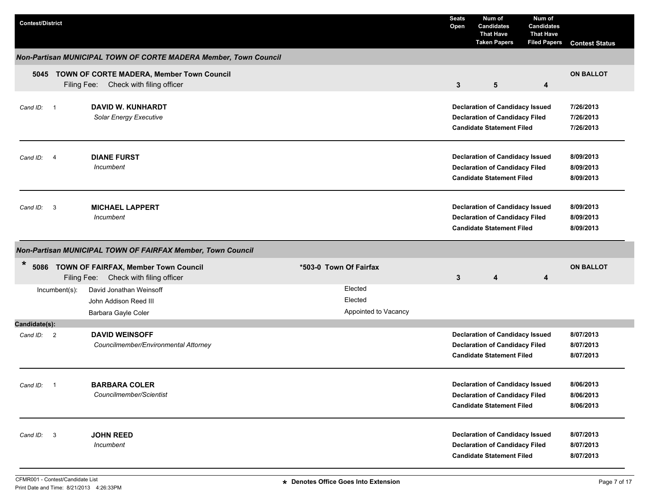| <b>Contest/District</b> |                                                                                         |                                            | <b>Seats</b><br>Open | Num of<br><b>Candidates</b><br><b>That Have</b><br><b>Taken Papers</b>                                              | Num of<br><b>Candidates</b><br><b>That Have</b><br><b>Filed Papers</b> | <b>Contest Status</b>               |
|-------------------------|-----------------------------------------------------------------------------------------|--------------------------------------------|----------------------|---------------------------------------------------------------------------------------------------------------------|------------------------------------------------------------------------|-------------------------------------|
|                         | Non-Partisan MUNICIPAL TOWN OF CORTE MADERA Member, Town Council                        |                                            |                      |                                                                                                                     |                                                                        |                                     |
|                         | 5045 TOWN OF CORTE MADERA, Member Town Council<br>Filing Fee: Check with filing officer |                                            | $\mathbf{3}$         | $5\phantom{1}$                                                                                                      | 4                                                                      | <b>ON BALLOT</b>                    |
| Cand ID: 1              | <b>DAVID W. KUNHARDT</b><br>Solar Energy Executive                                      |                                            |                      | <b>Declaration of Candidacy Issued</b><br><b>Declaration of Candidacy Filed</b><br><b>Candidate Statement Filed</b> |                                                                        | 7/26/2013<br>7/26/2013<br>7/26/2013 |
| Cand ID: 4              | <b>DIANE FURST</b><br>Incumbent                                                         |                                            |                      | <b>Declaration of Candidacy Issued</b><br><b>Declaration of Candidacy Filed</b><br><b>Candidate Statement Filed</b> |                                                                        | 8/09/2013<br>8/09/2013<br>8/09/2013 |
| Cand ID: 3              | <b>MICHAEL LAPPERT</b><br>Incumbent                                                     |                                            |                      | <b>Declaration of Candidacy Issued</b><br><b>Declaration of Candidacy Filed</b><br><b>Candidate Statement Filed</b> |                                                                        | 8/09/2013<br>8/09/2013<br>8/09/2013 |
|                         | Non-Partisan MUNICIPAL TOWN OF FAIRFAX Member, Town Council                             |                                            |                      |                                                                                                                     |                                                                        |                                     |
| *                       | 5086 TOWN OF FAIRFAX, Member Town Council<br>Filing Fee: Check with filing officer      | *503-0 Town Of Fairfax                     | 3                    | 4                                                                                                                   | $\boldsymbol{4}$                                                       | <b>ON BALLOT</b>                    |
| Incumbent(s):           | David Jonathan Weinsoff<br>John Addison Reed III<br>Barbara Gayle Coler                 | Elected<br>Elected<br>Appointed to Vacancy |                      |                                                                                                                     |                                                                        |                                     |
| Candidate(s):           |                                                                                         |                                            |                      |                                                                                                                     |                                                                        |                                     |
| Cand ID: 2              | <b>DAVID WEINSOFF</b><br>Councilmember/Environmental Attorney                           |                                            |                      | <b>Declaration of Candidacy Issued</b><br><b>Declaration of Candidacy Filed</b><br><b>Candidate Statement Filed</b> |                                                                        | 8/07/2013<br>8/07/2013<br>8/07/2013 |
| Cand ID: 1              | <b>BARBARA COLER</b><br>Councilmember/Scientist                                         |                                            |                      | <b>Declaration of Candidacy Issued</b><br><b>Declaration of Candidacy Filed</b><br><b>Candidate Statement Filed</b> |                                                                        | 8/06/2013<br>8/06/2013<br>8/06/2013 |
| Cand ID: 3              | <b>JOHN REED</b><br>Incumbent                                                           |                                            |                      | <b>Declaration of Candidacy Issued</b><br><b>Declaration of Candidacy Filed</b><br><b>Candidate Statement Filed</b> |                                                                        | 8/07/2013<br>8/07/2013<br>8/07/2013 |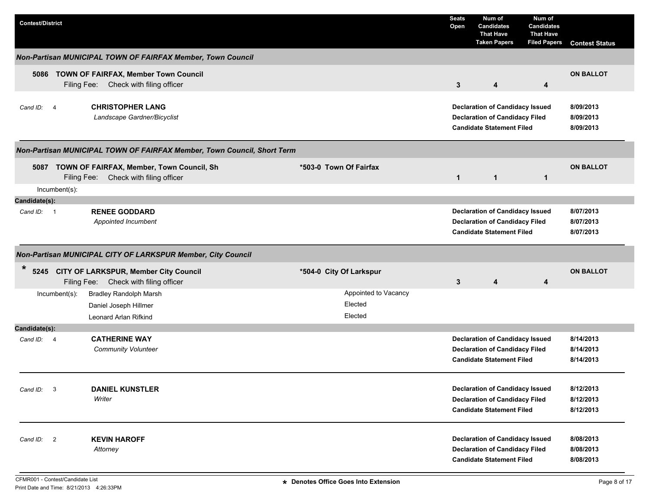| <b>Contest/District</b>     |                                                                                                                                                   | <b>Seats</b><br>Open | Num of<br><b>Candidates</b><br><b>That Have</b><br><b>Taken Papers</b>                                              | Num of<br><b>Candidates</b><br><b>That Have</b><br><b>Filed Papers</b> | <b>Contest Status</b>               |
|-----------------------------|---------------------------------------------------------------------------------------------------------------------------------------------------|----------------------|---------------------------------------------------------------------------------------------------------------------|------------------------------------------------------------------------|-------------------------------------|
|                             | Non-Partisan MUNICIPAL TOWN OF FAIRFAX Member, Town Council                                                                                       |                      |                                                                                                                     |                                                                        |                                     |
|                             | 5086 TOWN OF FAIRFAX, Member Town Council<br>Filing Fee: Check with filing officer                                                                | 3                    | 4                                                                                                                   | 4                                                                      | <b>ON BALLOT</b>                    |
| Cand ID: 4                  | <b>CHRISTOPHER LANG</b><br>Landscape Gardner/Bicyclist                                                                                            |                      | <b>Declaration of Candidacy Issued</b><br><b>Declaration of Candidacy Filed</b><br><b>Candidate Statement Filed</b> |                                                                        | 8/09/2013<br>8/09/2013<br>8/09/2013 |
|                             | Non-Partisan MUNICIPAL TOWN OF FAIRFAX Member, Town Council, Short Term                                                                           |                      |                                                                                                                     |                                                                        |                                     |
|                             | *503-0 Town Of Fairfax<br>5087 TOWN OF FAIRFAX, Member, Town Council, Sh<br>Filing Fee: Check with filing officer                                 | $\mathbf{1}$         | $\mathbf{1}$                                                                                                        | $\mathbf{1}$                                                           | <b>ON BALLOT</b>                    |
|                             | Incumbent(s):                                                                                                                                     |                      |                                                                                                                     |                                                                        |                                     |
| Candidate(s):<br>Cand ID: 1 | <b>RENEE GODDARD</b><br>Appointed Incumbent                                                                                                       |                      | <b>Declaration of Candidacy Issued</b><br><b>Declaration of Candidacy Filed</b><br><b>Candidate Statement Filed</b> |                                                                        | 8/07/2013<br>8/07/2013<br>8/07/2013 |
|                             | Non-Partisan MUNICIPAL CITY OF LARKSPUR Member, City Council                                                                                      |                      |                                                                                                                     |                                                                        |                                     |
| $\ast$                      | 5245 CITY OF LARKSPUR, Member City Council<br>*504-0 City Of Larkspur<br>Filing Fee: Check with filing officer                                    | 3                    | $\overline{\mathbf{4}}$                                                                                             | 4                                                                      | <b>ON BALLOT</b>                    |
|                             | Appointed to Vacancy<br><b>Bradley Randolph Marsh</b><br>$lncumbent(s)$ :<br>Elected<br>Daniel Joseph Hillmer<br>Elected<br>Leonard Arlan Rifkind |                      |                                                                                                                     |                                                                        |                                     |
| Candidate(s):               |                                                                                                                                                   |                      |                                                                                                                     |                                                                        |                                     |
| Cand ID: 4                  | <b>CATHERINE WAY</b><br><b>Community Volunteer</b>                                                                                                |                      | <b>Declaration of Candidacy Issued</b><br><b>Declaration of Candidacy Filed</b><br><b>Candidate Statement Filed</b> |                                                                        | 8/14/2013<br>8/14/2013<br>8/14/2013 |
| Cand ID: 3                  | <b>DANIEL KUNSTLER</b><br>Writer                                                                                                                  |                      | <b>Declaration of Candidacy Issued</b><br><b>Declaration of Candidacy Filed</b><br><b>Candidate Statement Filed</b> |                                                                        | 8/12/2013<br>8/12/2013<br>8/12/2013 |
| Cand ID: 2                  | <b>KEVIN HAROFF</b><br>Attorney                                                                                                                   |                      | <b>Declaration of Candidacy Issued</b><br><b>Declaration of Candidacy Filed</b><br><b>Candidate Statement Filed</b> |                                                                        | 8/08/2013<br>8/08/2013<br>8/08/2013 |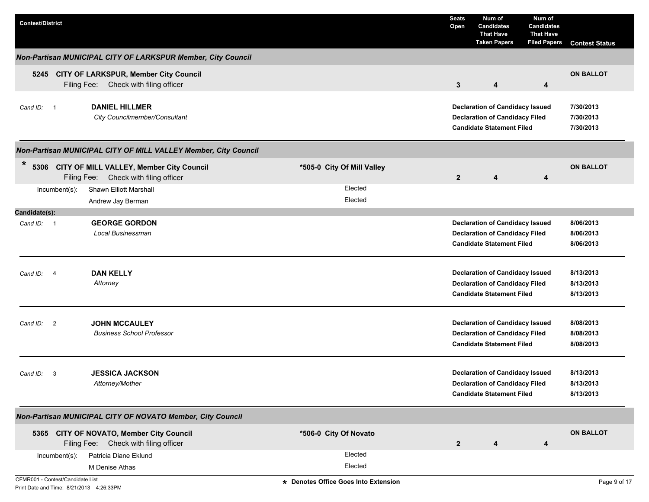| <b>Contest/District</b>    |                                                                                        |                            | <b>Seats</b><br>Open                                                                                                | Num of<br><b>Candidates</b><br><b>That Have</b><br><b>Taken Papers</b>                                              | Num of<br><b>Candidates</b><br><b>That Have</b><br><b>Filed Papers</b> | <b>Contest Status</b>               |
|----------------------------|----------------------------------------------------------------------------------------|----------------------------|---------------------------------------------------------------------------------------------------------------------|---------------------------------------------------------------------------------------------------------------------|------------------------------------------------------------------------|-------------------------------------|
|                            | Non-Partisan MUNICIPAL CITY OF LARKSPUR Member, City Council                           |                            |                                                                                                                     |                                                                                                                     |                                                                        |                                     |
|                            | 5245 CITY OF LARKSPUR, Member City Council<br>Filing Fee: Check with filing officer    |                            | 3                                                                                                                   | 4                                                                                                                   | 4                                                                      | <b>ON BALLOT</b>                    |
| Cand ID: 1                 | <b>DANIEL HILLMER</b><br>City Councilmember/Consultant                                 |                            | <b>Declaration of Candidacy Issued</b><br><b>Declaration of Candidacy Filed</b><br><b>Candidate Statement Filed</b> | 7/30/2013<br>7/30/2013<br>7/30/2013                                                                                 |                                                                        |                                     |
|                            | Non-Partisan MUNICIPAL CITY OF MILL VALLEY Member, City Council                        |                            |                                                                                                                     |                                                                                                                     |                                                                        |                                     |
| $\star$                    | 5306 CITY OF MILL VALLEY, Member City Council<br>Filing Fee: Check with filing officer | *505-0 City Of Mill Valley | $\overline{2}$                                                                                                      | 4                                                                                                                   | 4                                                                      | <b>ON BALLOT</b>                    |
| $Incumbent(s)$ :           | Shawn Elliott Marshall<br>Andrew Jay Berman                                            | Elected<br>Elected         |                                                                                                                     |                                                                                                                     |                                                                        |                                     |
| Candidate(s):              |                                                                                        |                            |                                                                                                                     |                                                                                                                     |                                                                        |                                     |
| Cand ID: 1                 | <b>GEORGE GORDON</b>                                                                   |                            |                                                                                                                     | <b>Declaration of Candidacy Issued</b>                                                                              |                                                                        | 8/06/2013                           |
|                            | Local Businessman                                                                      |                            |                                                                                                                     | <b>Declaration of Candidacy Filed</b><br><b>Candidate Statement Filed</b>                                           |                                                                        | 8/06/2013<br>8/06/2013              |
| Cand ID:<br>$\overline{4}$ | <b>DAN KELLY</b><br>Attorney                                                           |                            |                                                                                                                     | <b>Declaration of Candidacy Issued</b><br><b>Declaration of Candidacy Filed</b><br><b>Candidate Statement Filed</b> |                                                                        | 8/13/2013<br>8/13/2013<br>8/13/2013 |
| $\overline{2}$<br>Cand ID: | <b>JOHN MCCAULEY</b><br><b>Business School Professor</b>                               |                            |                                                                                                                     | <b>Declaration of Candidacy Issued</b><br><b>Declaration of Candidacy Filed</b><br><b>Candidate Statement Filed</b> |                                                                        | 8/08/2013<br>8/08/2013<br>8/08/2013 |
| 3<br>Cand ID:              | <b>JESSICA JACKSON</b><br>Attorney/Mother                                              |                            |                                                                                                                     | <b>Declaration of Candidacy Issued</b><br><b>Declaration of Candidacy Filed</b><br><b>Candidate Statement Filed</b> |                                                                        | 8/13/2013<br>8/13/2013<br>8/13/2013 |
|                            | Non-Partisan MUNICIPAL CITY OF NOVATO Member, City Council                             |                            |                                                                                                                     |                                                                                                                     |                                                                        |                                     |
|                            | 5365 CITY OF NOVATO, Member City Council<br>Filing Fee: Check with filing officer      | *506-0 City Of Novato      | $\mathbf{2}$                                                                                                        | 4                                                                                                                   | 4                                                                      | <b>ON BALLOT</b>                    |
| Incumbent(s):              | Patricia Diane Eklund                                                                  | Elected                    |                                                                                                                     |                                                                                                                     |                                                                        |                                     |
|                            | M Denise Athas                                                                         | Elected                    |                                                                                                                     |                                                                                                                     |                                                                        |                                     |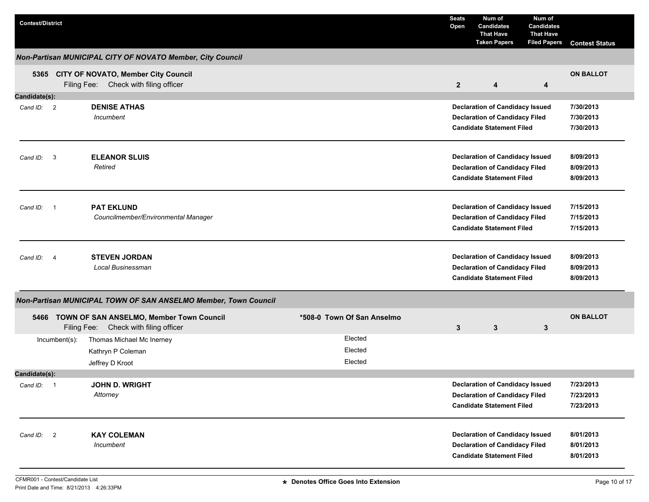| <b>Contest/District</b> |                |                                                                                        |                               | <b>Seats</b><br>Open | Num of<br><b>Candidates</b><br><b>That Have</b><br><b>Taken Papers</b>                                              | Num of<br><b>Candidates</b><br><b>That Have</b><br><b>Filed Papers</b> | <b>Contest Status</b>               |
|-------------------------|----------------|----------------------------------------------------------------------------------------|-------------------------------|----------------------|---------------------------------------------------------------------------------------------------------------------|------------------------------------------------------------------------|-------------------------------------|
|                         |                | Non-Partisan MUNICIPAL CITY OF NOVATO Member, City Council                             |                               |                      |                                                                                                                     |                                                                        |                                     |
|                         |                | 5365 CITY OF NOVATO, Member City Council<br>Filing Fee: Check with filing officer      |                               | $\overline{2}$       | $\overline{\mathbf{4}}$                                                                                             | 4                                                                      | <b>ON BALLOT</b>                    |
| Candidate(s):           |                |                                                                                        |                               |                      |                                                                                                                     |                                                                        |                                     |
| Cand ID: 2              |                | <b>DENISE ATHAS</b><br>Incumbent                                                       |                               |                      | <b>Declaration of Candidacy Issued</b><br><b>Declaration of Candidacy Filed</b><br><b>Candidate Statement Filed</b> |                                                                        | 7/30/2013<br>7/30/2013<br>7/30/2013 |
| Cand ID:                | $\mathbf{3}$   | <b>ELEANOR SLUIS</b><br>Retired                                                        |                               |                      | <b>Declaration of Candidacy Issued</b><br><b>Declaration of Candidacy Filed</b><br><b>Candidate Statement Filed</b> |                                                                        | 8/09/2013<br>8/09/2013<br>8/09/2013 |
| Cand ID:<br>- 1         |                | <b>PAT EKLUND</b><br>Councilmember/Environmental Manager                               |                               |                      | <b>Declaration of Candidacy Issued</b><br><b>Declaration of Candidacy Filed</b><br><b>Candidate Statement Filed</b> |                                                                        | 7/15/2013<br>7/15/2013<br>7/15/2013 |
| Cand ID:                | $\overline{4}$ | <b>STEVEN JORDAN</b><br>Local Businessman                                              |                               |                      | <b>Declaration of Candidacy Issued</b><br><b>Declaration of Candidacy Filed</b><br><b>Candidate Statement Filed</b> |                                                                        | 8/09/2013<br>8/09/2013<br>8/09/2013 |
|                         |                | Non-Partisan MUNICIPAL TOWN OF SAN ANSELMO Member, Town Council                        |                               |                      |                                                                                                                     |                                                                        |                                     |
|                         |                | 5466 TOWN OF SAN ANSELMO, Member Town Council<br>Filing Fee: Check with filing officer | *508-0 Town Of San Anselmo    | 3                    | 3                                                                                                                   | 3                                                                      | <b>ON BALLOT</b>                    |
|                         | Incumbent(s):  | Thomas Michael Mc Inerney<br>Kathryn P Coleman<br>Jeffrey D Kroot                      | Elected<br>Elected<br>Elected |                      |                                                                                                                     |                                                                        |                                     |
| Candidate(s):           |                |                                                                                        |                               |                      |                                                                                                                     |                                                                        |                                     |
| Cand ID: 1              |                | JOHN D. WRIGHT<br>Attorney                                                             |                               |                      | <b>Declaration of Candidacy Issued</b><br><b>Declaration of Candidacy Filed</b><br><b>Candidate Statement Filed</b> |                                                                        | 7/23/2013<br>7/23/2013<br>7/23/2013 |
| Cand ID:                | $\overline{2}$ | <b>KAY COLEMAN</b><br>Incumbent                                                        |                               |                      | <b>Declaration of Candidacy Issued</b><br><b>Declaration of Candidacy Filed</b><br><b>Candidate Statement Filed</b> |                                                                        | 8/01/2013<br>8/01/2013<br>8/01/2013 |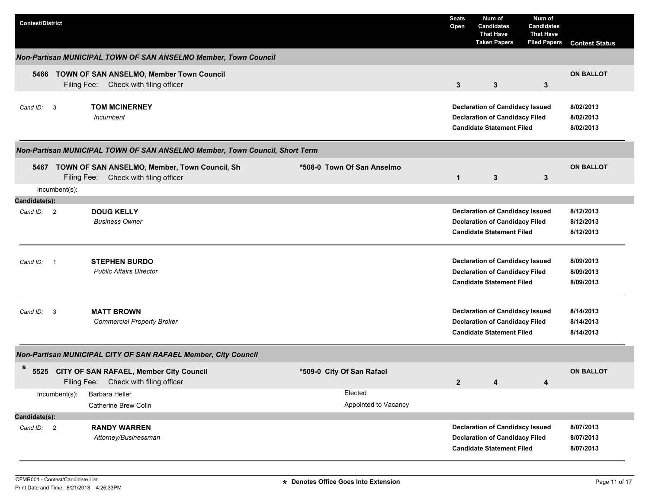| <b>Contest/District</b>                |                                                                                                |                                 | <b>Seats</b><br>Open | Num of<br><b>Candidates</b><br><b>That Have</b><br><b>Taken Papers</b>                                              | Num of<br><b>Candidates</b><br><b>That Have</b><br><b>Filed Papers</b> | <b>Contest Status</b>               |
|----------------------------------------|------------------------------------------------------------------------------------------------|---------------------------------|----------------------|---------------------------------------------------------------------------------------------------------------------|------------------------------------------------------------------------|-------------------------------------|
|                                        | Non-Partisan MUNICIPAL TOWN OF SAN ANSELMO Member, Town Council                                |                                 |                      |                                                                                                                     |                                                                        |                                     |
| 5466                                   | TOWN OF SAN ANSELMO, Member Town Council<br>Filing Fee:<br>Check with filing officer           |                                 | $\mathbf{3}$         | $\mathbf{3}$                                                                                                        | 3                                                                      | <b>ON BALLOT</b>                    |
| Cand ID: 3                             | <b>TOM MCINERNEY</b><br>Incumbent                                                              |                                 |                      | <b>Declaration of Candidacy Issued</b><br><b>Declaration of Candidacy Filed</b><br><b>Candidate Statement Filed</b> |                                                                        | 8/02/2013<br>8/02/2013<br>8/02/2013 |
|                                        | Non-Partisan MUNICIPAL TOWN OF SAN ANSELMO Member, Town Council, Short Term                    |                                 |                      |                                                                                                                     |                                                                        |                                     |
|                                        | 5467 TOWN OF SAN ANSELMO, Member, Town Council, Sh<br>Check with filing officer<br>Filing Fee: | *508-0 Town Of San Anselmo      | $\mathbf{1}$         | 3                                                                                                                   | 3                                                                      | <b>ON BALLOT</b>                    |
| Incumbent(s):<br>Candidate(s):         |                                                                                                |                                 |                      |                                                                                                                     |                                                                        |                                     |
| Cand ID: 2                             | <b>DOUG KELLY</b><br><b>Business Owner</b>                                                     |                                 |                      | <b>Declaration of Candidacy Issued</b><br><b>Declaration of Candidacy Filed</b><br><b>Candidate Statement Filed</b> |                                                                        | 8/12/2013<br>8/12/2013<br>8/12/2013 |
| Cand ID:<br>$\overline{\phantom{0}}$ 1 | <b>STEPHEN BURDO</b><br><b>Public Affairs Director</b>                                         |                                 |                      | <b>Declaration of Candidacy Issued</b><br><b>Declaration of Candidacy Filed</b><br><b>Candidate Statement Filed</b> |                                                                        | 8/09/2013<br>8/09/2013<br>8/09/2013 |
| $\overline{\mathbf{3}}$<br>Cand ID:    | <b>MATT BROWN</b><br><b>Commercial Property Broker</b>                                         |                                 |                      | <b>Declaration of Candidacy Issued</b><br><b>Declaration of Candidacy Filed</b><br><b>Candidate Statement Filed</b> |                                                                        | 8/14/2013<br>8/14/2013<br>8/14/2013 |
|                                        | Non-Partisan MUNICIPAL CITY OF SAN RAFAEL Member, City Council                                 |                                 |                      |                                                                                                                     |                                                                        |                                     |
| $\ast$<br>5525                         | CITY OF SAN RAFAEL, Member City Council<br>Filing Fee:<br>Check with filing officer            | *509-0 City Of San Rafael       | $\mathbf{2}$         | 4                                                                                                                   | 4                                                                      | <b>ON BALLOT</b>                    |
| Incumbent(s):                          | Barbara Heller<br>Catherine Brew Colin                                                         | Elected<br>Appointed to Vacancy |                      |                                                                                                                     |                                                                        |                                     |
| Candidate(s):<br>Cand ID: 2            | <b>RANDY WARREN</b><br>Attorney/Businessman                                                    |                                 |                      | <b>Declaration of Candidacy Issued</b><br><b>Declaration of Candidacy Filed</b><br><b>Candidate Statement Filed</b> |                                                                        | 8/07/2013<br>8/07/2013<br>8/07/2013 |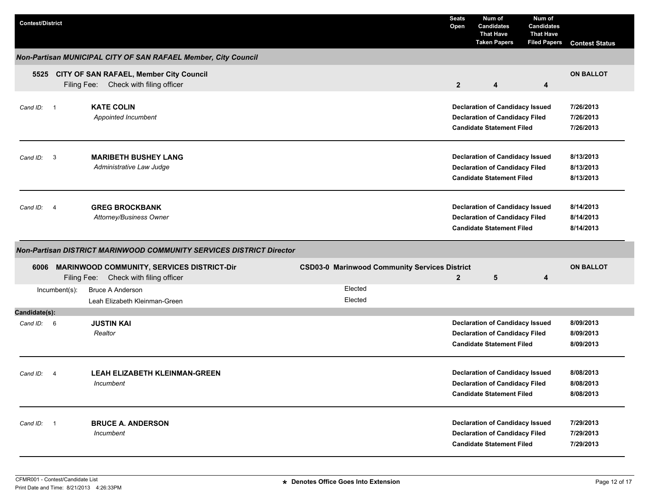| <b>Contest/District</b>     |               |                                                                                       |                                                      | <b>Seats</b><br>Open | Num of<br><b>Candidates</b><br><b>That Have</b><br><b>Taken Papers</b>                                              | Num of<br><b>Candidates</b><br><b>That Have</b><br><b>Filed Papers</b> | <b>Contest Status</b>               |
|-----------------------------|---------------|---------------------------------------------------------------------------------------|------------------------------------------------------|----------------------|---------------------------------------------------------------------------------------------------------------------|------------------------------------------------------------------------|-------------------------------------|
|                             |               | Non-Partisan MUNICIPAL CITY OF SAN RAFAEL Member, City Council                        |                                                      |                      |                                                                                                                     |                                                                        |                                     |
|                             |               | 5525 CITY OF SAN RAFAEL, Member City Council<br>Filing Fee: Check with filing officer |                                                      | $\overline{2}$       | 4                                                                                                                   | 4                                                                      | <b>ON BALLOT</b>                    |
| Cand ID: 1                  |               | <b>KATE COLIN</b><br>Appointed Incumbent                                              |                                                      |                      | <b>Declaration of Candidacy Issued</b><br><b>Declaration of Candidacy Filed</b><br><b>Candidate Statement Filed</b> |                                                                        | 7/26/2013<br>7/26/2013<br>7/26/2013 |
| Cand ID: 3                  |               | <b>MARIBETH BUSHEY LANG</b><br>Administrative Law Judge                               |                                                      |                      | <b>Declaration of Candidacy Issued</b><br><b>Declaration of Candidacy Filed</b><br><b>Candidate Statement Filed</b> |                                                                        | 8/13/2013<br>8/13/2013<br>8/13/2013 |
| Cand ID: 4                  |               | <b>GREG BROCKBANK</b><br>Attorney/Business Owner                                      |                                                      |                      | <b>Declaration of Candidacy Issued</b><br><b>Declaration of Candidacy Filed</b><br><b>Candidate Statement Filed</b> |                                                                        | 8/14/2013<br>8/14/2013<br>8/14/2013 |
|                             |               | <b>Non-Partisan DISTRICT MARINWOOD COMMUNITY SERVICES DISTRICT Director</b>           |                                                      |                      |                                                                                                                     |                                                                        |                                     |
| 6006                        | Filing Fee:   | <b>MARINWOOD COMMUNITY, SERVICES DISTRICT-Dir</b><br>Check with filing officer        | <b>CSD03-0 Marinwood Community Services District</b> | $\overline{2}$       | 5                                                                                                                   | 4                                                                      | <b>ON BALLOT</b>                    |
|                             | Incumbent(s): | <b>Bruce A Anderson</b><br>Leah Elizabeth Kleinman-Green                              | Elected<br>Elected                                   |                      |                                                                                                                     |                                                                        |                                     |
| Candidate(s):<br>Cand ID: 6 |               | <b>JUSTIN KAI</b><br>Realtor                                                          |                                                      |                      | <b>Declaration of Candidacy Issued</b><br><b>Declaration of Candidacy Filed</b><br><b>Candidate Statement Filed</b> |                                                                        | 8/09/2013<br>8/09/2013<br>8/09/2013 |
| Cand ID: 4                  |               | <b>LEAH ELIZABETH KLEINMAN-GREEN</b><br>Incumbent                                     |                                                      |                      | <b>Declaration of Candidacy Issued</b><br><b>Declaration of Candidacy Filed</b><br><b>Candidate Statement Filed</b> |                                                                        | 8/08/2013<br>8/08/2013<br>8/08/2013 |
| Cand ID: 1                  |               | <b>BRUCE A. ANDERSON</b>                                                              |                                                      |                      | <b>Declaration of Candidacy Issued</b>                                                                              |                                                                        | 7/29/2013                           |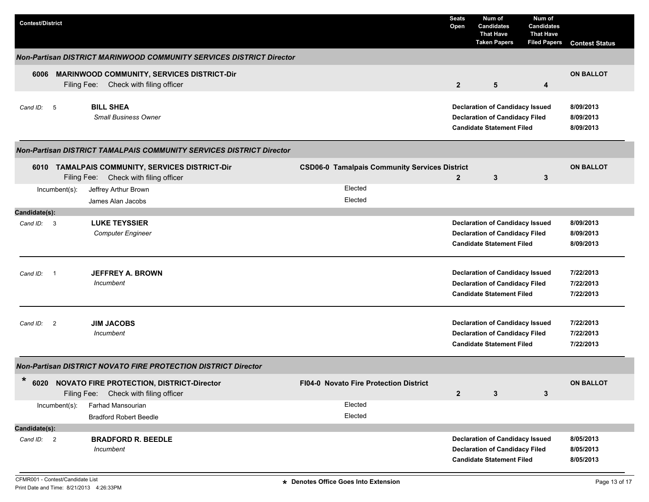| <b>Contest/District</b>                                                                                                              |                                                                 | <b>Seats</b><br>Open | Num of<br><b>Candidates</b><br><b>That Have</b><br><b>Taken Papers</b>                                              | Num of<br><b>Candidates</b><br><b>That Have</b><br><b>Filed Papers</b> | <b>Contest Status</b>               |
|--------------------------------------------------------------------------------------------------------------------------------------|-----------------------------------------------------------------|----------------------|---------------------------------------------------------------------------------------------------------------------|------------------------------------------------------------------------|-------------------------------------|
| Non-Partisan DISTRICT MARINWOOD COMMUNITY SERVICES DISTRICT Director                                                                 |                                                                 |                      |                                                                                                                     |                                                                        |                                     |
| <b>MARINWOOD COMMUNITY, SERVICES DISTRICT-Dir</b><br>6006<br>Filing Fee: Check with filing officer                                   |                                                                 | $\overline{2}$       | $5\phantom{.0}$                                                                                                     | 4                                                                      | <b>ON BALLOT</b>                    |
| <b>BILL SHEA</b><br>Cand ID: 5<br><b>Small Business Owner</b>                                                                        |                                                                 |                      | <b>Declaration of Candidacy Issued</b><br><b>Declaration of Candidacy Filed</b><br><b>Candidate Statement Filed</b> |                                                                        | 8/09/2013<br>8/09/2013<br>8/09/2013 |
| Non-Partisan DISTRICT TAMALPAIS COMMUNITY SERVICES DISTRICT Director                                                                 |                                                                 |                      |                                                                                                                     |                                                                        |                                     |
| 6010 TAMALPAIS COMMUNITY, SERVICES DISTRICT-Dir<br>Filing Fee: Check with filing officer<br>Jeffrey Arthur Brown<br>$Incumbent(s)$ : | <b>CSD06-0 Tamalpais Community Services District</b><br>Elected | $\mathbf{2}$         | 3                                                                                                                   | 3                                                                      | <b>ON BALLOT</b>                    |
| James Alan Jacobs<br>Candidate(s):                                                                                                   | Elected                                                         |                      |                                                                                                                     |                                                                        |                                     |
| <b>LUKE TEYSSIER</b><br>Cand ID: 3<br><b>Computer Engineer</b>                                                                       |                                                                 |                      | <b>Declaration of Candidacy Issued</b><br><b>Declaration of Candidacy Filed</b><br><b>Candidate Statement Filed</b> |                                                                        | 8/09/2013<br>8/09/2013<br>8/09/2013 |
| <b>JEFFREY A. BROWN</b><br>Cand ID:<br>- 1<br><b>Incumbent</b>                                                                       |                                                                 |                      | <b>Declaration of Candidacy Issued</b><br><b>Declaration of Candidacy Filed</b><br><b>Candidate Statement Filed</b> |                                                                        | 7/22/2013<br>7/22/2013<br>7/22/2013 |
| <b>JIM JACOBS</b><br>$\overline{2}$<br>Cand ID:<br>Incumbent                                                                         |                                                                 |                      | <b>Declaration of Candidacy Issued</b><br><b>Declaration of Candidacy Filed</b><br><b>Candidate Statement Filed</b> |                                                                        | 7/22/2013<br>7/22/2013<br>7/22/2013 |
| <b>Non-Partisan DISTRICT NOVATO FIRE PROTECTION DISTRICT Director</b>                                                                |                                                                 |                      |                                                                                                                     |                                                                        |                                     |
| $\star$<br>6020 NOVATO FIRE PROTECTION, DISTRICT-Director<br>Check with filing officer<br>Filing Fee:                                | FI04-0 Novato Fire Protection District                          | $\mathbf{2}$         | $\mathbf{3}$                                                                                                        | 3                                                                      | <b>ON BALLOT</b>                    |
| Farhad Mansourian<br>Incumbent(s):<br><b>Bradford Robert Beedle</b>                                                                  | Elected<br>Elected                                              |                      |                                                                                                                     |                                                                        |                                     |
| Candidate(s):                                                                                                                        |                                                                 |                      |                                                                                                                     |                                                                        |                                     |
| Cand ID: 2<br><b>BRADFORD R. BEEDLE</b><br>Incumbent                                                                                 |                                                                 |                      | <b>Declaration of Candidacy Issued</b><br><b>Declaration of Candidacy Filed</b><br><b>Candidate Statement Filed</b> |                                                                        | 8/05/2013<br>8/05/2013<br>8/05/2013 |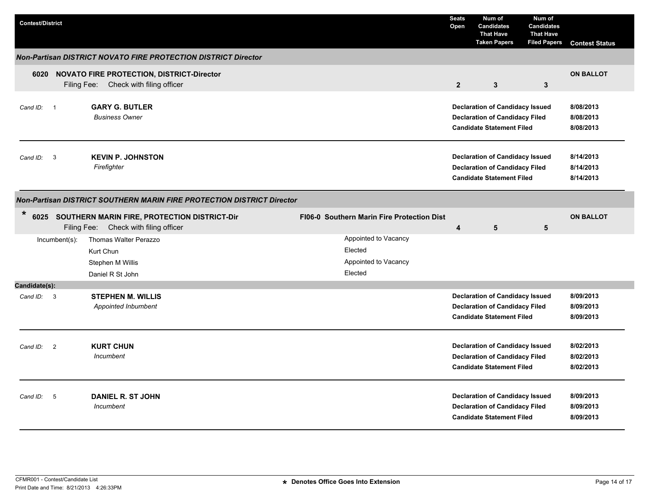| <b>Contest/District</b>                                               |                |                                                                                         |  |  |                                                                    | <b>Seats</b><br>Open    | Num of<br><b>Candidates</b><br><b>That Have</b><br><b>Taken Papers</b>                                              | Num of<br><b>Candidates</b><br><b>That Have</b><br><b>Filed Papers</b> | <b>Contest Status</b>               |  |
|-----------------------------------------------------------------------|----------------|-----------------------------------------------------------------------------------------|--|--|--------------------------------------------------------------------|-------------------------|---------------------------------------------------------------------------------------------------------------------|------------------------------------------------------------------------|-------------------------------------|--|
| <b>Non-Partisan DISTRICT NOVATO FIRE PROTECTION DISTRICT Director</b> |                |                                                                                         |  |  |                                                                    |                         |                                                                                                                     |                                                                        |                                     |  |
|                                                                       |                | 6020 NOVATO FIRE PROTECTION, DISTRICT-Director<br>Filing Fee: Check with filing officer |  |  |                                                                    | $\overline{2}$          | $\mathbf{3}$                                                                                                        | $\mathbf{3}$                                                           | <b>ON BALLOT</b>                    |  |
| Cand ID:                                                              | - 1            | <b>GARY G. BUTLER</b><br><b>Business Owner</b>                                          |  |  |                                                                    |                         | <b>Declaration of Candidacy Issued</b><br><b>Declaration of Candidacy Filed</b><br><b>Candidate Statement Filed</b> |                                                                        | 8/08/2013<br>8/08/2013<br>8/08/2013 |  |
| Cand ID: 3                                                            |                | <b>KEVIN P. JOHNSTON</b><br>Firefighter                                                 |  |  |                                                                    |                         | <b>Declaration of Candidacy Issued</b><br><b>Declaration of Candidacy Filed</b><br><b>Candidate Statement Filed</b> |                                                                        | 8/14/2013<br>8/14/2013<br>8/14/2013 |  |
|                                                                       |                | Non-Partisan DISTRICT SOUTHERN MARIN FIRE PROTECTION DISTRICT Director                  |  |  |                                                                    |                         |                                                                                                                     |                                                                        |                                     |  |
| $\ast$<br>6025                                                        |                | SOUTHERN MARIN FIRE, PROTECTION DISTRICT-Dir<br>Filing Fee: Check with filing officer   |  |  | FI06-0 Southern Marin Fire Protection Dist                         | $\overline{\mathbf{4}}$ | 5                                                                                                                   | $5\phantom{.0}$                                                        | <b>ON BALLOT</b>                    |  |
|                                                                       | Incumbent(s):  | Thomas Walter Perazzo<br>Kurt Chun<br>Stephen M Willis<br>Daniel R St John              |  |  | Appointed to Vacancy<br>Elected<br>Appointed to Vacancy<br>Elected |                         |                                                                                                                     |                                                                        |                                     |  |
| Candidate(s):                                                         |                |                                                                                         |  |  |                                                                    |                         |                                                                                                                     |                                                                        |                                     |  |
| Cand ID: 3                                                            |                | <b>STEPHEN M. WILLIS</b><br>Appointed Inbumbent                                         |  |  |                                                                    |                         | <b>Declaration of Candidacy Issued</b><br><b>Declaration of Candidacy Filed</b><br><b>Candidate Statement Filed</b> |                                                                        | 8/09/2013<br>8/09/2013<br>8/09/2013 |  |
| Cand ID:                                                              | $\overline{2}$ | <b>KURT CHUN</b><br>Incumbent                                                           |  |  |                                                                    |                         | <b>Declaration of Candidacy Issued</b><br><b>Declaration of Candidacy Filed</b><br><b>Candidate Statement Filed</b> |                                                                        | 8/02/2013<br>8/02/2013<br>8/02/2013 |  |
| Cand ID:                                                              | 5              | <b>DANIEL R. ST JOHN</b><br>Incumbent                                                   |  |  |                                                                    |                         | <b>Declaration of Candidacy Issued</b><br><b>Declaration of Candidacy Filed</b><br><b>Candidate Statement Filed</b> |                                                                        | 8/09/2013<br>8/09/2013<br>8/09/2013 |  |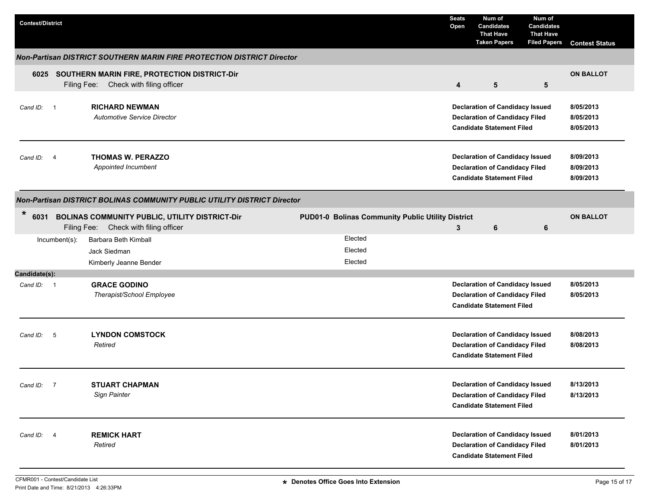| <b>Contest/District</b> |               |                                                                                            |  |                                                   | <b>Seats</b><br>Open | Num of<br><b>Candidates</b><br><b>That Have</b><br><b>Taken Papers</b>                                              | Num of<br><b>Candidates</b><br><b>That Have</b><br><b>Filed Papers</b> | <b>Contest Status</b>               |
|-------------------------|---------------|--------------------------------------------------------------------------------------------|--|---------------------------------------------------|----------------------|---------------------------------------------------------------------------------------------------------------------|------------------------------------------------------------------------|-------------------------------------|
|                         |               | Non-Partisan DISTRICT SOUTHERN MARIN FIRE PROTECTION DISTRICT Director                     |  |                                                   |                      |                                                                                                                     |                                                                        |                                     |
|                         |               | 6025 SOUTHERN MARIN FIRE, PROTECTION DISTRICT-Dir<br>Filing Fee: Check with filing officer |  |                                                   | $\overline{4}$       | 5                                                                                                                   | 5                                                                      | <b>ON BALLOT</b>                    |
| Cand ID: 1              |               | <b>RICHARD NEWMAN</b><br>Automotive Service Director                                       |  |                                                   |                      | <b>Declaration of Candidacy Issued</b><br><b>Declaration of Candidacy Filed</b><br><b>Candidate Statement Filed</b> |                                                                        | 8/05/2013<br>8/05/2013<br>8/05/2013 |
| Cand ID: 4              |               | <b>THOMAS W. PERAZZO</b><br>Appointed Incumbent                                            |  |                                                   |                      | <b>Declaration of Candidacy Issued</b><br><b>Declaration of Candidacy Filed</b><br><b>Candidate Statement Filed</b> |                                                                        | 8/09/2013<br>8/09/2013<br>8/09/2013 |
|                         |               | Non-Partisan DISTRICT BOLINAS COMMUNITY PUBLIC UTILITY DISTRICT Director                   |  |                                                   |                      |                                                                                                                     |                                                                        |                                     |
| $\ast$<br>6031          |               | BOLINAS COMMUNITY PUBLIC, UTILITY DISTRICT-Dir<br>Filing Fee: Check with filing officer    |  | PUD01-0 Bolinas Community Public Utility District | 3                    | 6                                                                                                                   | 6                                                                      | <b>ON BALLOT</b>                    |
|                         | Incumbent(s): | Barbara Beth Kimball<br>Jack Siedman<br>Kimberly Jeanne Bender                             |  | Elected<br>Elected<br>Elected                     |                      |                                                                                                                     |                                                                        |                                     |
| Candidate(s):           |               |                                                                                            |  |                                                   |                      |                                                                                                                     |                                                                        |                                     |
| Cand ID: 1              |               | <b>GRACE GODINO</b><br>Therapist/School Employee                                           |  |                                                   |                      | <b>Declaration of Candidacy Issued</b><br><b>Declaration of Candidacy Filed</b><br><b>Candidate Statement Filed</b> |                                                                        | 8/05/2013<br>8/05/2013              |
| Cand ID: 5              |               | <b>LYNDON COMSTOCK</b><br>Retired                                                          |  |                                                   |                      | <b>Declaration of Candidacy Issued</b><br><b>Declaration of Candidacy Filed</b><br><b>Candidate Statement Filed</b> |                                                                        | 8/08/2013<br>8/08/2013              |
| Cand ID: 7              |               | <b>STUART CHAPMAN</b><br>Sign Painter                                                      |  |                                                   |                      | <b>Declaration of Candidacy Issued</b><br><b>Declaration of Candidacy Filed</b><br><b>Candidate Statement Filed</b> |                                                                        | 8/13/2013<br>8/13/2013              |
| Cand ID: 4              |               | <b>REMICK HART</b><br>Retired                                                              |  |                                                   |                      | <b>Declaration of Candidacy Issued</b><br><b>Declaration of Candidacy Filed</b><br><b>Candidate Statement Filed</b> |                                                                        | 8/01/2013<br>8/01/2013              |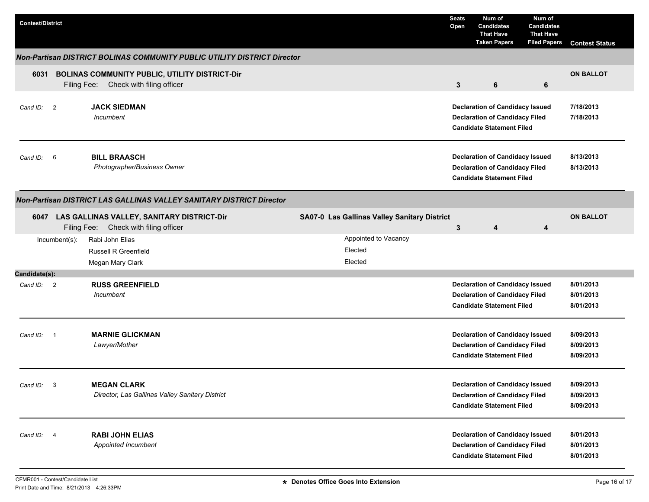| <b>Contest/District</b> |               |                                                                                         |                                              | <b>Seats</b><br>Open | Num of<br><b>Candidates</b><br><b>That Have</b><br><b>Taken Papers</b>                                              | Num of<br><b>Candidates</b><br><b>That Have</b><br><b>Filed Papers</b> | <b>Contest Status</b>               |
|-------------------------|---------------|-----------------------------------------------------------------------------------------|----------------------------------------------|----------------------|---------------------------------------------------------------------------------------------------------------------|------------------------------------------------------------------------|-------------------------------------|
|                         |               | <b>Non-Partisan DISTRICT BOLINAS COMMUNITY PUBLIC UTILITY DISTRICT Director</b>         |                                              |                      |                                                                                                                     |                                                                        |                                     |
| 6031                    |               | BOLINAS COMMUNITY PUBLIC, UTILITY DISTRICT-Dir<br>Filing Fee: Check with filing officer |                                              | $\mathbf{3}$         | 6                                                                                                                   | 6                                                                      | <b>ON BALLOT</b>                    |
| Cand ID: 2              |               | <b>JACK SIEDMAN</b><br>Incumbent                                                        |                                              |                      | <b>Declaration of Candidacy Issued</b><br><b>Declaration of Candidacy Filed</b><br><b>Candidate Statement Filed</b> |                                                                        | 7/18/2013<br>7/18/2013              |
| Cand ID: 6              |               | <b>BILL BRAASCH</b><br>Photographer/Business Owner                                      |                                              |                      | <b>Declaration of Candidacy Issued</b><br><b>Declaration of Candidacy Filed</b><br><b>Candidate Statement Filed</b> |                                                                        | 8/13/2013<br>8/13/2013              |
|                         |               | Non-Partisan DISTRICT LAS GALLINAS VALLEY SANITARY DISTRICT Director                    |                                              |                      |                                                                                                                     |                                                                        |                                     |
| 6047                    |               | LAS GALLINAS VALLEY, SANITARY DISTRICT-Dir<br>Filing Fee: Check with filing officer     | SA07-0 Las Gallinas Valley Sanitary District | 3                    | 4                                                                                                                   | 4                                                                      | <b>ON BALLOT</b>                    |
|                         | Incumbent(s): | Rabi John Elias<br>Russell R Greenfield<br>Megan Mary Clark                             | Appointed to Vacancy<br>Elected<br>Elected   |                      |                                                                                                                     |                                                                        |                                     |
| Candidate(s):           |               |                                                                                         |                                              |                      |                                                                                                                     |                                                                        |                                     |
| Cand ID: 2              |               | <b>RUSS GREENFIELD</b><br>Incumbent                                                     |                                              |                      | <b>Declaration of Candidacy Issued</b><br><b>Declaration of Candidacy Filed</b><br><b>Candidate Statement Filed</b> |                                                                        | 8/01/2013<br>8/01/2013<br>8/01/2013 |
| Cand ID: 1              |               | <b>MARNIE GLICKMAN</b><br>Lawyer/Mother                                                 |                                              |                      | <b>Declaration of Candidacy Issued</b><br><b>Declaration of Candidacy Filed</b><br><b>Candidate Statement Filed</b> |                                                                        | 8/09/2013<br>8/09/2013<br>8/09/2013 |
| Cand ID: 3              |               | <b>MEGAN CLARK</b><br>Director, Las Gallinas Valley Sanitary District                   |                                              |                      | <b>Declaration of Candidacy Issued</b><br><b>Declaration of Candidacy Filed</b><br><b>Candidate Statement Filed</b> |                                                                        | 8/09/2013<br>8/09/2013<br>8/09/2013 |
| Cand ID: 4              |               | <b>RABI JOHN ELIAS</b><br>Appointed Incumbent                                           |                                              |                      | <b>Declaration of Candidacy Issued</b><br><b>Declaration of Candidacy Filed</b><br><b>Candidate Statement Filed</b> |                                                                        | 8/01/2013<br>8/01/2013<br>8/01/2013 |